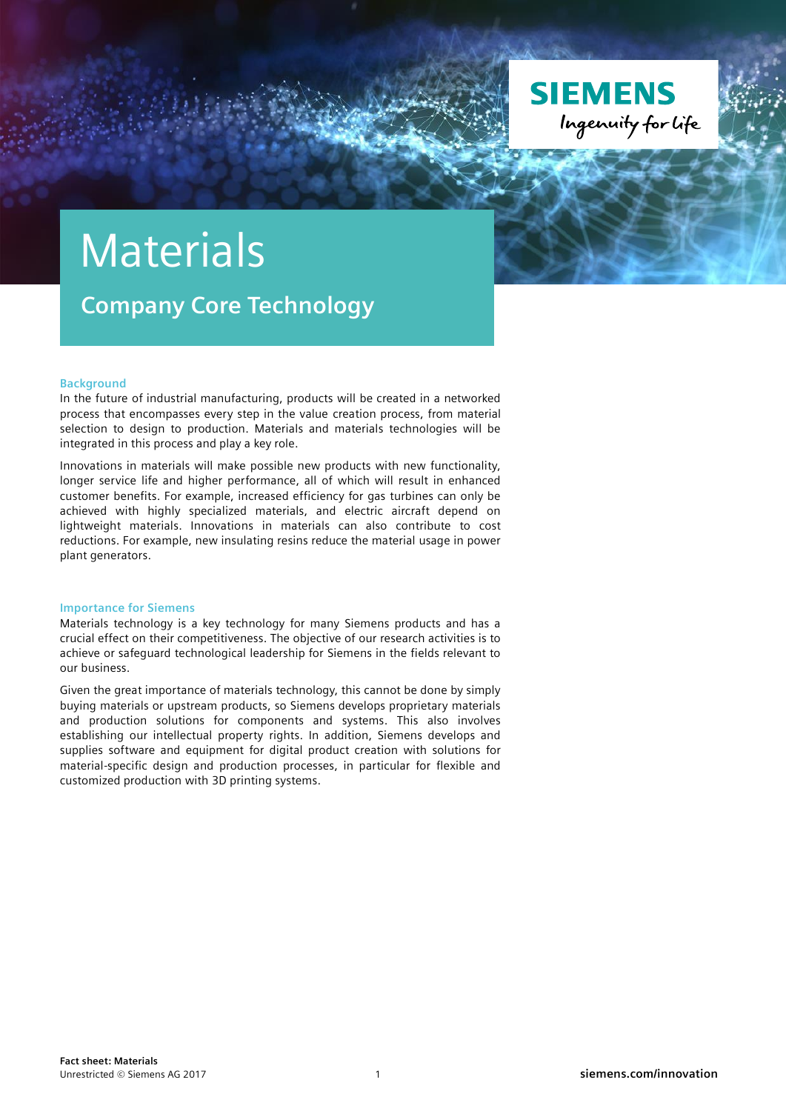

## Materials

**Company Core Technology**

## **Background**

In the future of industrial manufacturing, products will be created in a networked process that encompasses every step in the value creation process, from material selection to design to production. Materials and materials technologies will be integrated in this process and play a key role.

Innovations in materials will make possible new products with new functionality, longer service life and higher performance, all of which will result in enhanced customer benefits. For example, increased efficiency for gas turbines can only be achieved with highly specialized materials, and electric aircraft depend on lightweight materials. Innovations in materials can also contribute to cost reductions. For example, new insulating resins reduce the material usage in power plant generators.

## **Importance for Siemens**

Materials technology is a key technology for many Siemens products and has a crucial effect on their competitiveness. The objective of our research activities is to achieve or safeguard technological leadership for Siemens in the fields relevant to our business.

Given the great importance of materials technology, this cannot be done by simply buying materials or upstream products, so Siemens develops proprietary materials and production solutions for components and systems. This also involves establishing our intellectual property rights. In addition, Siemens develops and supplies software and equipment for digital product creation with solutions for material-specific design and production processes, in particular for flexible and customized production with 3D printing systems.